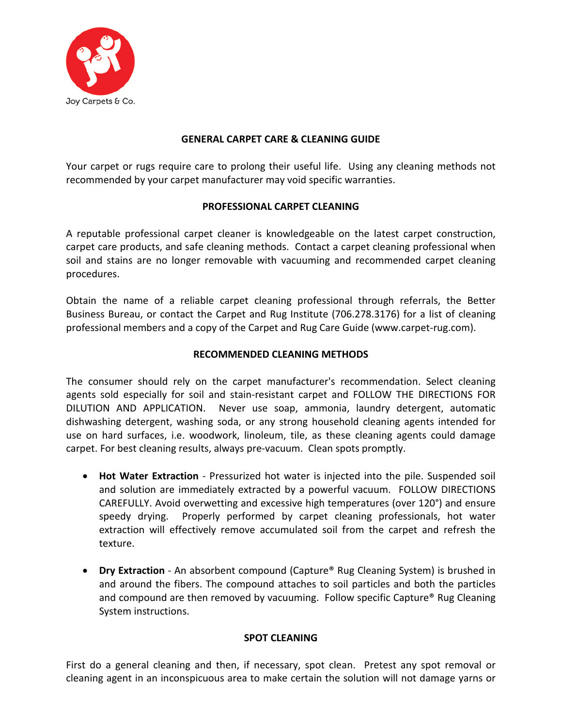

## **GENERAL CARPET CARE & CLEANING GUIDE**

Your carpet or rugs require care to prolong their useful life. Using any cleaning methods not recommended by your carpet manufacturer may void specific warranties.

### **PROFESSIONAL CARPET CLEANING**

A reputable professional carpet cleaner is knowledgeable on the latest carpet construction, carpet care products, and safe cleaning methods. Contact a carpet cleaning professional when soil and stains are no longer removable with vacuuming and recommended carpet cleaning procedures.

Obtain the name of a reliable carpet cleaning professional through referrals, the Better Business Bureau, or contact the Carpet and Rug Institute (706.278.3176) for a list of cleaning professional members and a copy of the Carpet and Rug Care Guide (www.carpet-rug.com).

### **RECOMMENDED CLEANING METHODS**

The consumer should rely on the carpet manufacturer's recommendation. Select cleaning agents sold especially for soil and stain-resistant carpet and FOLLOW THE DIRECTIONS FOR DILUTION AND APPLICATION. Never use soap, ammonia, laundry detergent, automatic dishwashing detergent, washing soda, or any strong household cleaning agents intended for use on hard surfaces, i.e. woodwork, linoleum, tile, as these cleaning agents could damage carpet. For best cleaning results, always pre-vacuum. Clean spots promptly.

- **Hot Water Extraction** Pressurized hot water is injected into the pile. Suspended soil and solution are immediately extracted by a powerful vacuum. FOLLOW DIRECTIONS CAREFULLY. Avoid overwetting and excessive high temperatures (over 120°) and ensure speedy drying. Properly performed by carpet cleaning professionals, hot water extraction will effectively remove accumulated soil from the carpet and refresh the texture.
- **Dry Extraction** An absorbent compound (Capture® Rug Cleaning System) is brushed in and around the fibers. The compound attaches to soil particles and both the particles and compound are then removed by vacuuming. Follow specific Capture<sup>®</sup> Rug Cleaning System instructions.

#### **SPOT CLEANING**

First do a general cleaning and then, if necessary, spot clean. Pretest any spot removal or cleaning agent in an inconspicuous area to make certain the solution will not damage yarns or